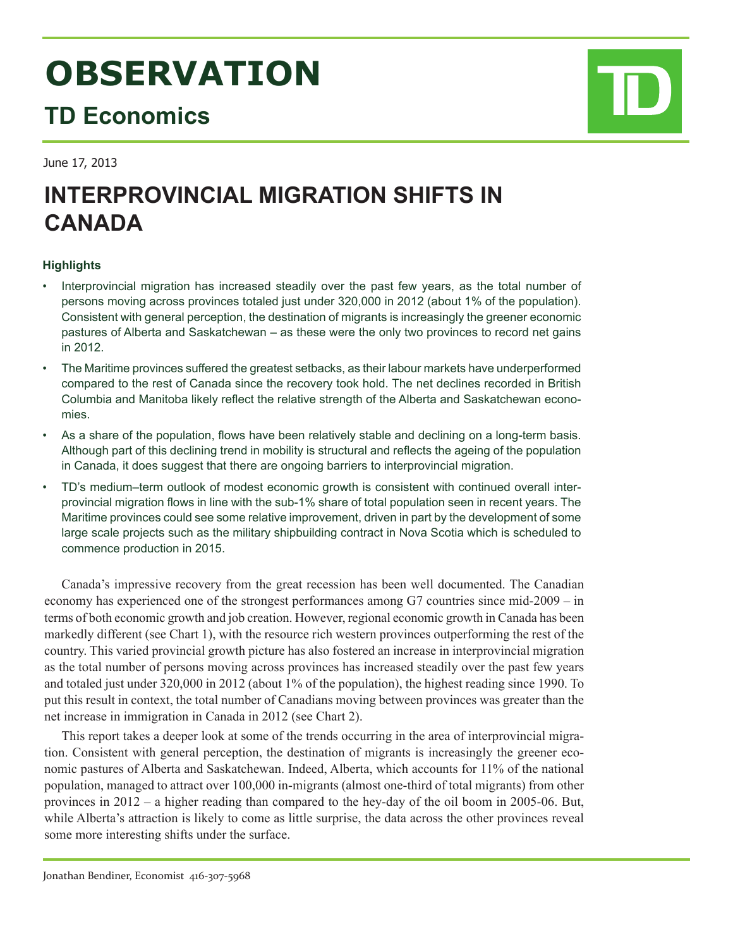# **OBSERVATION**

# **TD Economics**

June 17, 2013

# **INTERPROVINCIAL MIGRATION SHIFTS IN CANADA**

# **Highlights**

- Interprovincial migration has increased steadily over the past few years, as the total number of persons moving across provinces totaled just under 320,000 in 2012 (about 1% of the population). Consistent with general perception, the destination of migrants is increasingly the greener economic pastures of Alberta and Saskatchewan – as these were the only two provinces to record net gains in 2012.
- The Maritime provinces suffered the greatest setbacks, as their labour markets have underperformed compared to the rest of Canada since the recovery took hold. The net declines recorded in British Columbia and Manitoba likely reflect the relative strength of the Alberta and Saskatchewan economies.
- As a share of the population, flows have been relatively stable and declining on a long-term basis. Although part of this declining trend in mobility is structural and reflects the ageing of the population in Canada, it does suggest that there are ongoing barriers to interprovincial migration.
- TD's medium–term outlook of modest economic growth is consistent with continued overall interprovincial migration flows in line with the sub-1% share of total population seen in recent years. The Maritime provinces could see some relative improvement, driven in part by the development of some large scale projects such as the military shipbuilding contract in Nova Scotia which is scheduled to commence production in 2015.

Canada's impressive recovery from the great recession has been well documented. The Canadian economy has experienced one of the strongest performances among G7 countries since mid-2009 – in terms of both economic growth and job creation. However, regional economic growth in Canada has been markedly different (see Chart 1), with the resource rich western provinces outperforming the rest of the country. This varied provincial growth picture has also fostered an increase in interprovincial migration as the total number of persons moving across provinces has increased steadily over the past few years and totaled just under 320,000 in 2012 (about 1% of the population), the highest reading since 1990. To put this result in context, the total number of Canadians moving between provinces was greater than the net increase in immigration in Canada in 2012 (see Chart 2).

This report takes a deeper look at some of the trends occurring in the area of interprovincial migration. Consistent with general perception, the destination of migrants is increasingly the greener economic pastures of Alberta and Saskatchewan. Indeed, Alberta, which accounts for 11% of the national population, managed to attract over 100,000 in-migrants (almost one-third of total migrants) from other provinces in 2012 – a higher reading than compared to the hey-day of the oil boom in 2005-06. But, while Alberta's attraction is likely to come as little surprise, the data across the other provinces reveal some more interesting shifts under the surface.

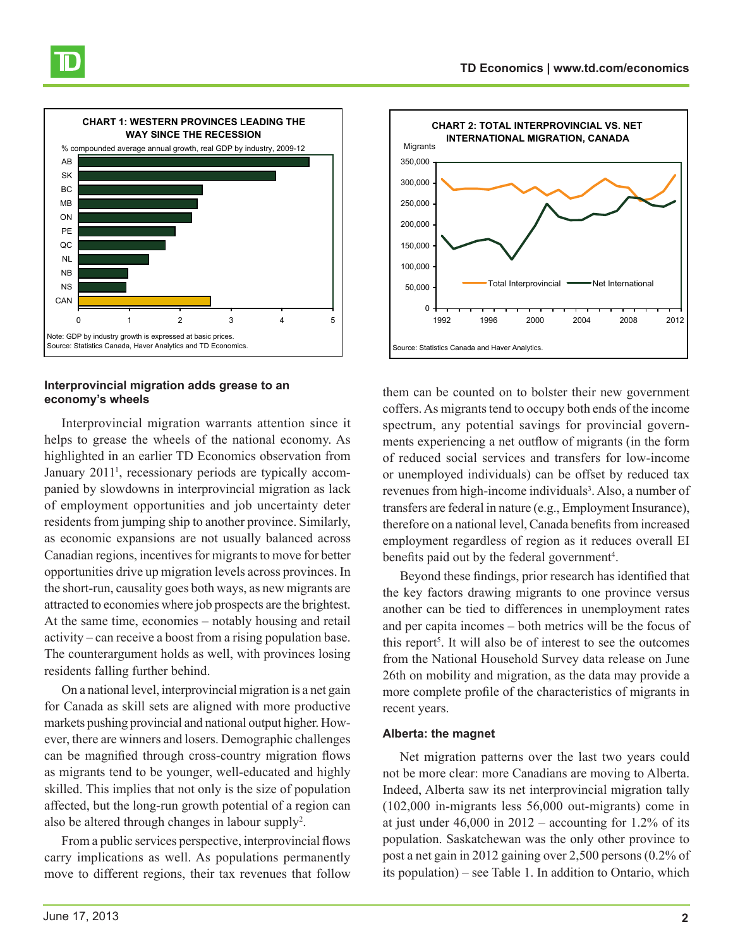

## **Interprovincial migration adds grease to an economy's wheels**

Interprovincial migration warrants attention since it helps to grease the wheels of the national economy. As highlighted in an earlier TD Economics observation from January 2011<sup>1</sup>, recessionary periods are typically accompanied by slowdowns in interprovincial migration as lack of employment opportunities and job uncertainty deter residents from jumping ship to another province. Similarly, as economic expansions are not usually balanced across Canadian regions, incentives for migrants to move for better opportunities drive up migration levels across provinces. In the short-run, causality goes both ways, as new migrants are attracted to economies where job prospects are the brightest. At the same time, economies – notably housing and retail activity – can receive a boost from a rising population base. The counterargument holds as well, with provinces losing residents falling further behind.

On a national level, interprovincial migration is a net gain for Canada as skill sets are aligned with more productive markets pushing provincial and national output higher. However, there are winners and losers. Demographic challenges can be magnified through cross-country migration flows as migrants tend to be younger, well-educated and highly skilled. This implies that not only is the size of population affected, but the long-run growth potential of a region can also be altered through changes in labour supply<sup>2</sup>.

From a public services perspective, interprovincial flows carry implications as well. As populations permanently move to different regions, their tax revenues that follow



them can be counted on to bolster their new government coffers. As migrants tend to occupy both ends of the income spectrum, any potential savings for provincial governments experiencing a net outflow of migrants (in the form of reduced social services and transfers for low-income or unemployed individuals) can be offset by reduced tax revenues from high-income individuals<sup>3</sup>. Also, a number of transfers are federal in nature (e.g., Employment Insurance), therefore on a national level, Canada benefits from increased employment regardless of region as it reduces overall EI benefits paid out by the federal government<sup>4</sup>.

Beyond these findings, prior research has identified that the key factors drawing migrants to one province versus another can be tied to differences in unemployment rates and per capita incomes – both metrics will be the focus of this report<sup>5</sup>. It will also be of interest to see the outcomes from the National Household Survey data release on June 26th on mobility and migration, as the data may provide a more complete profile of the characteristics of migrants in recent years.

### **Alberta: the magnet**

Net migration patterns over the last two years could not be more clear: more Canadians are moving to Alberta. Indeed, Alberta saw its net interprovincial migration tally (102,000 in-migrants less 56,000 out-migrants) come in at just under  $46,000$  in  $2012$  – accounting for 1.2% of its population. Saskatchewan was the only other province to post a net gain in 2012 gaining over 2,500 persons (0.2% of its population) – see Table 1. In addition to Ontario, which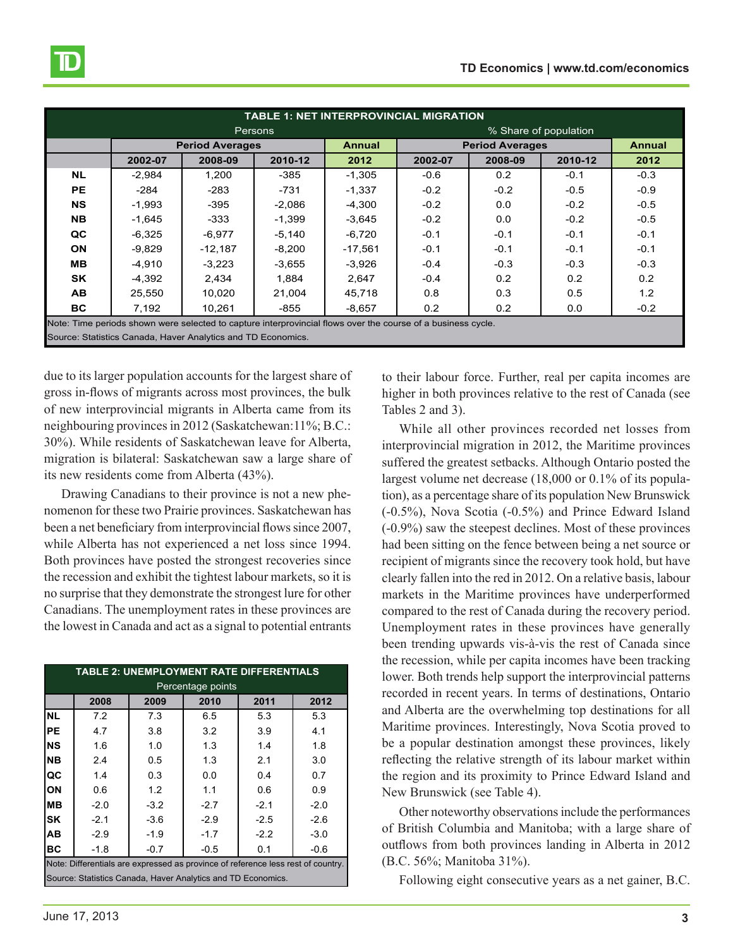| <b>TABLE 1: NET INTERPROVINCIAL MIGRATION</b>                                                                |          |                        |                |                       |                        |               |         |        |  |
|--------------------------------------------------------------------------------------------------------------|----------|------------------------|----------------|-----------------------|------------------------|---------------|---------|--------|--|
|                                                                                                              |          |                        | <b>Persons</b> | % Share of population |                        |               |         |        |  |
|                                                                                                              |          | <b>Period Averages</b> |                | <b>Annual</b>         | <b>Period Averages</b> | <b>Annual</b> |         |        |  |
|                                                                                                              | 2002-07  | 2008-09                | 2010-12        | 2012                  | 2002-07                | 2008-09       | 2010-12 | 2012   |  |
| <b>NL</b>                                                                                                    | $-2.984$ | 1,200                  | $-385$         | $-1,305$              | $-0.6$                 | 0.2           | $-0.1$  | $-0.3$ |  |
| <b>PE</b>                                                                                                    | $-284$   | $-283$                 | $-731$         | $-1,337$              | $-0.2$                 | $-0.2$        | $-0.5$  | $-0.9$ |  |
| <b>NS</b>                                                                                                    | $-1,993$ | $-395$                 | $-2,086$       | $-4,300$              | $-0.2$                 | 0.0           | $-0.2$  | $-0.5$ |  |
| <b>NB</b>                                                                                                    | $-1,645$ | -333                   | $-1,399$       | $-3,645$              | $-0.2$                 | 0.0           | $-0.2$  | $-0.5$ |  |
| QC                                                                                                           | $-6,325$ | $-6,977$               | $-5,140$       | $-6,720$              | $-0.1$                 | $-0.1$        | $-0.1$  | $-0.1$ |  |
| <b>ON</b>                                                                                                    | $-9.829$ | $-12.187$              | $-8,200$       | $-17.561$             | $-0.1$                 | $-0.1$        | $-0.1$  | $-0.1$ |  |
| MВ                                                                                                           | $-4,910$ | $-3,223$               | $-3,655$       | $-3,926$              | $-0.4$                 | $-0.3$        | $-0.3$  | $-0.3$ |  |
| <b>SK</b>                                                                                                    | $-4,392$ | 2,434                  | 1.884          | 2.647                 | $-0.4$                 | 0.2           | 0.2     | 0.2    |  |
| <b>AB</b>                                                                                                    | 25,550   | 10,020                 | 21.004         | 45,718                | 0.8                    | 0.3           | 0.5     | 1.2    |  |
| BC.                                                                                                          | 7,192    | 10,261                 | $-855$         | $-8,657$              | 0.2                    | 0.2           | 0.0     | $-0.2$ |  |
| Note: Time periods shown were selected to capture interprovincial flows over the course of a business cycle. |          |                        |                |                       |                        |               |         |        |  |
| Source: Statistics Canada, Haver Analytics and TD Economics.                                                 |          |                        |                |                       |                        |               |         |        |  |

due to its larger population accounts for the largest share of gross in-flows of migrants across most provinces, the bulk of new interprovincial migrants in Alberta came from its neighbouring provinces in 2012 (Saskatchewan:11%; B.C.: 30%). While residents of Saskatchewan leave for Alberta, migration is bilateral: Saskatchewan saw a large share of its new residents come from Alberta (43%).

Drawing Canadians to their province is not a new phenomenon for these two Prairie provinces. Saskatchewan has been a net beneficiary from interprovincial flows since 2007, while Alberta has not experienced a net loss since 1994. Both provinces have posted the strongest recoveries since the recession and exhibit the tightest labour markets, so it is no surprise that they demonstrate the strongest lure for other Canadians. The unemployment rates in these provinces are the lowest in Canada and act as a signal to potential entrants

| <b>TABLE 2: UNEMPLOYMENT RATE DIFFERENTIALS</b>                                  |        |        |                            |        |        |  |  |  |  |  |
|----------------------------------------------------------------------------------|--------|--------|----------------------------|--------|--------|--|--|--|--|--|
| Percentage points                                                                |        |        |                            |        |        |  |  |  |  |  |
|                                                                                  | 2008   | 2009   | 2010                       | 2011   | 2012   |  |  |  |  |  |
| <b>NL</b>                                                                        | 7.2    | 7.3    | 6.5                        | 5.3    | 5.3    |  |  |  |  |  |
| PE                                                                               | 4.7    | 3.8    | 3.2                        | 3.9    | 4.1    |  |  |  |  |  |
| <b>NS</b>                                                                        | 1.6    | 1.0    | 1.3                        | 1.4    | 1.8    |  |  |  |  |  |
| <b>NB</b>                                                                        | 2.4    | 0.5    | 1.3                        | 2.1    | 3.0    |  |  |  |  |  |
| QC                                                                               | 1.4    | 0.3    | 0.0                        | 0.4    | 0.7    |  |  |  |  |  |
| ON                                                                               | 0.6    | 1.2    | 1.1                        | 0.6    | 0.9    |  |  |  |  |  |
| <b>MB</b>                                                                        | $-2.0$ | $-3.2$ | $-2.7$                     | $-2.1$ | $-2.0$ |  |  |  |  |  |
| <b>SK</b>                                                                        | $-2.1$ | $-3.6$ | $-2.9$<br>$-2.6$<br>$-2.5$ |        |        |  |  |  |  |  |
| AB                                                                               | $-2.9$ | $-1.9$ | $-1.7$                     | $-2.2$ | $-3.0$ |  |  |  |  |  |
| ВC                                                                               | $-1.8$ | $-0.7$ | $-0.5$                     | 0.1    | $-0.6$ |  |  |  |  |  |
| Note: Differentials are expressed as province of reference less rest of country. |        |        |                            |        |        |  |  |  |  |  |
| Source: Statistics Canada, Haver Analytics and TD Economics.                     |        |        |                            |        |        |  |  |  |  |  |

to their labour force. Further, real per capita incomes are higher in both provinces relative to the rest of Canada (see Tables 2 and 3).

While all other provinces recorded net losses from interprovincial migration in 2012, the Maritime provinces suffered the greatest setbacks. Although Ontario posted the largest volume net decrease (18,000 or 0.1% of its population), as a percentage share of its population New Brunswick (-0.5%), Nova Scotia (-0.5%) and Prince Edward Island (-0.9%) saw the steepest declines. Most of these provinces had been sitting on the fence between being a net source or recipient of migrants since the recovery took hold, but have clearly fallen into the red in 2012. On a relative basis, labour markets in the Maritime provinces have underperformed compared to the rest of Canada during the recovery period. Unemployment rates in these provinces have generally been trending upwards vis-à-vis the rest of Canada since the recession, while per capita incomes have been tracking lower. Both trends help support the interprovincial patterns recorded in recent years. In terms of destinations, Ontario and Alberta are the overwhelming top destinations for all Maritime provinces. Interestingly, Nova Scotia proved to be a popular destination amongst these provinces, likely reflecting the relative strength of its labour market within the region and its proximity to Prince Edward Island and New Brunswick (see Table 4).

Other noteworthy observations include the performances of British Columbia and Manitoba; with a large share of outflows from both provinces landing in Alberta in 2012 (B.C. 56%; Manitoba 31%).

Following eight consecutive years as a net gainer, B.C.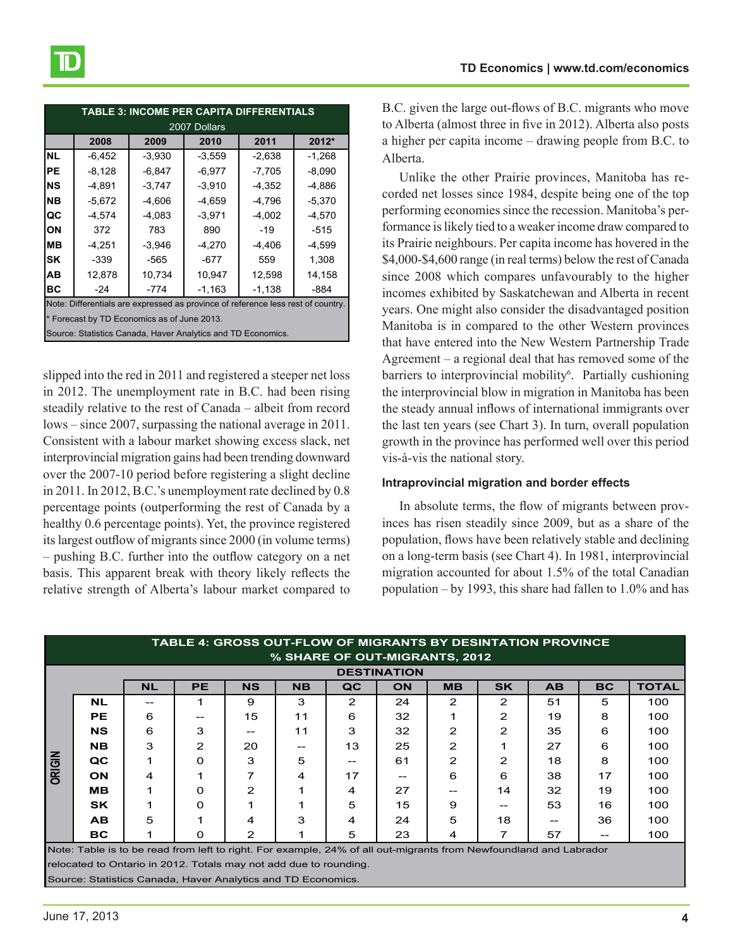| <b>TABLE 3: INCOME PER CAPITA DIFFERENTIALS</b>              |                                                                                  |          |          |          |          |  |  |  |  |  |
|--------------------------------------------------------------|----------------------------------------------------------------------------------|----------|----------|----------|----------|--|--|--|--|--|
| 2007 Dollars                                                 |                                                                                  |          |          |          |          |  |  |  |  |  |
|                                                              | 2008                                                                             | 2009     | 2010     | 2011     | 2012*    |  |  |  |  |  |
| <b>NL</b>                                                    | $-6,452$                                                                         | $-3,930$ | $-3,559$ | $-2,638$ | $-1,268$ |  |  |  |  |  |
| PE                                                           | $-8,128$                                                                         | $-6,847$ | $-6,977$ | $-7,705$ | $-8,090$ |  |  |  |  |  |
| <b>NS</b>                                                    | $-4.891$                                                                         | $-3,747$ | $-3.910$ | $-4.352$ | -4.886   |  |  |  |  |  |
| <b>NB</b>                                                    | $-5,672$                                                                         | $-4,606$ | $-4,659$ | $-4,796$ | $-5,370$ |  |  |  |  |  |
| QC                                                           | -4,574                                                                           | $-4,083$ | $-3.971$ | $-4,002$ | $-4,570$ |  |  |  |  |  |
| ON                                                           | 372                                                                              | 783      | 890      | -19      | -515     |  |  |  |  |  |
| MВ                                                           | $-4,251$                                                                         | $-3,946$ | $-4,270$ | -4,406   | $-4,599$ |  |  |  |  |  |
| <b>SK</b>                                                    | $-339$<br>$-565$<br>$-677$                                                       |          | 559      | 1,308    |          |  |  |  |  |  |
| AB                                                           | 12,878                                                                           | 10,734   | 10,947   | 12,598   | 14,158   |  |  |  |  |  |
| ВC                                                           | $-24$<br>-774                                                                    |          | $-1,163$ | $-1,138$ | -884     |  |  |  |  |  |
|                                                              | Note: Differentials are expressed as province of reference less rest of country. |          |          |          |          |  |  |  |  |  |
|                                                              | * Forecast by TD Economics as of June 2013.                                      |          |          |          |          |  |  |  |  |  |
| Source: Statistics Canada, Haver Analytics and TD Economics. |                                                                                  |          |          |          |          |  |  |  |  |  |

slipped into the red in 2011 and registered a steeper net loss in 2012. The unemployment rate in B.C. had been rising steadily relative to the rest of Canada – albeit from record lows – since 2007, surpassing the national average in 2011. Consistent with a labour market showing excess slack, net interprovincial migration gains had been trending downward over the 2007-10 period before registering a slight decline in 2011. In 2012, B.C.'s unemployment rate declined by 0.8 percentage points (outperforming the rest of Canada by a healthy 0.6 percentage points). Yet, the province registered its largest outflow of migrants since 2000 (in volume terms) – pushing B.C. further into the outflow category on a net basis. This apparent break with theory likely reflects the relative strength of Alberta's labour market compared to

B.C. given the large out-flows of B.C. migrants who move to Alberta (almost three in five in 2012). Alberta also posts a higher per capita income – drawing people from B.C. to Alberta.

Unlike the other Prairie provinces, Manitoba has recorded net losses since 1984, despite being one of the top performing economies since the recession. Manitoba's performance is likely tied to a weaker income draw compared to its Prairie neighbours. Per capita income has hovered in the \$4,000-\$4,600 range (in real terms) below the rest of Canada since 2008 which compares unfavourably to the higher incomes exhibited by Saskatchewan and Alberta in recent years. One might also consider the disadvantaged position Manitoba is in compared to the other Western provinces that have entered into the New Western Partnership Trade Agreement – a regional deal that has removed some of the barriers to interprovincial mobility<sup>6</sup>. Partially cushioning the interprovincial blow in migration in Manitoba has been the steady annual inflows of international immigrants over the last ten years (see Chart 3). In turn, overall population growth in the province has performed well over this period vis-à-vis the national story.

#### **Intraprovincial migration and border effects**

In absolute terms, the flow of migrants between provinces has risen steadily since 2009, but as a share of the population, flows have been relatively stable and declining on a long-term basis (see Chart 4). In 1981, interprovincial migration accounted for about 1.5% of the total Canadian population – by 1993, this share had fallen to 1.0% and has

| TABLE 4: GROSS OUT-FLOW OF MIGRANTS BY DESINTATION PROVINCE                                                       |           |           |                |                |           |    |           |               |               |           |           |              |
|-------------------------------------------------------------------------------------------------------------------|-----------|-----------|----------------|----------------|-----------|----|-----------|---------------|---------------|-----------|-----------|--------------|
| % SHARE OF OUT-MIGRANTS, 2012                                                                                     |           |           |                |                |           |    |           |               |               |           |           |              |
| <b>DESTINATION</b>                                                                                                |           |           |                |                |           |    |           |               |               |           |           |              |
|                                                                                                                   |           | <b>NL</b> | <b>PE</b>      | <b>NS</b>      | <b>NB</b> | QC | <b>ON</b> | <b>MB</b>     | <b>SK</b>     | <b>AB</b> | <b>BC</b> | <b>TOTAL</b> |
| ORIGIN                                                                                                            | <b>NL</b> | --        |                | 9              | 3         | 2  | 24        | $\mathcal{P}$ | 2             | 51        | 5         | 100          |
|                                                                                                                   | <b>PE</b> | 6         |                | 15             | 11        | 6  | 32        |               | 2             | 19        | 8         | 100          |
|                                                                                                                   | <b>NS</b> | 6         | 3              |                | 11        | 3  | 32        | $\mathcal{P}$ | $\mathcal{P}$ | 35        | 6         | 100          |
|                                                                                                                   | <b>NB</b> | 3         | $\overline{2}$ | 20             |           | 13 | 25        | 2             | 1             | 27        | 6         | 100          |
|                                                                                                                   | QC        | 1         | 0              | 3              | 5         |    | 61        | 2             | $\mathbf{2}$  | 18        | 8         | 100          |
|                                                                                                                   | <b>ON</b> | 4         |                | 7              | 4         | 17 |           | 6             | 6             | 38        | 17        | 100          |
|                                                                                                                   | MВ        | 1         | 0              | $\overline{2}$ |           | 4  | 27        |               | 14            | 32        | 19        | 100          |
|                                                                                                                   | <b>SK</b> | 1         | 0              | 1              |           | 5  | 15        | 9             | --            | 53        | 16        | 100          |
|                                                                                                                   | AB.       | 5         |                | 4              | 3         | 4  | 24        | 5             | 18            | --        | 36        | 100          |
|                                                                                                                   | BC.       | 1         | 0              | $\mathbf{2}$   |           | 5  | 23        | 4             | 7             | 57        | --        | 100          |
| Note: Table is to be read from left to right. For example, 24% of all out-migrants from Newfoundland and Labrador |           |           |                |                |           |    |           |               |               |           |           |              |
| relocated to Ontario in 2012. Totals may not add due to rounding.                                                 |           |           |                |                |           |    |           |               |               |           |           |              |
| Source: Statistics Canada, Haver Analytics and TD Economics.                                                      |           |           |                |                |           |    |           |               |               |           |           |              |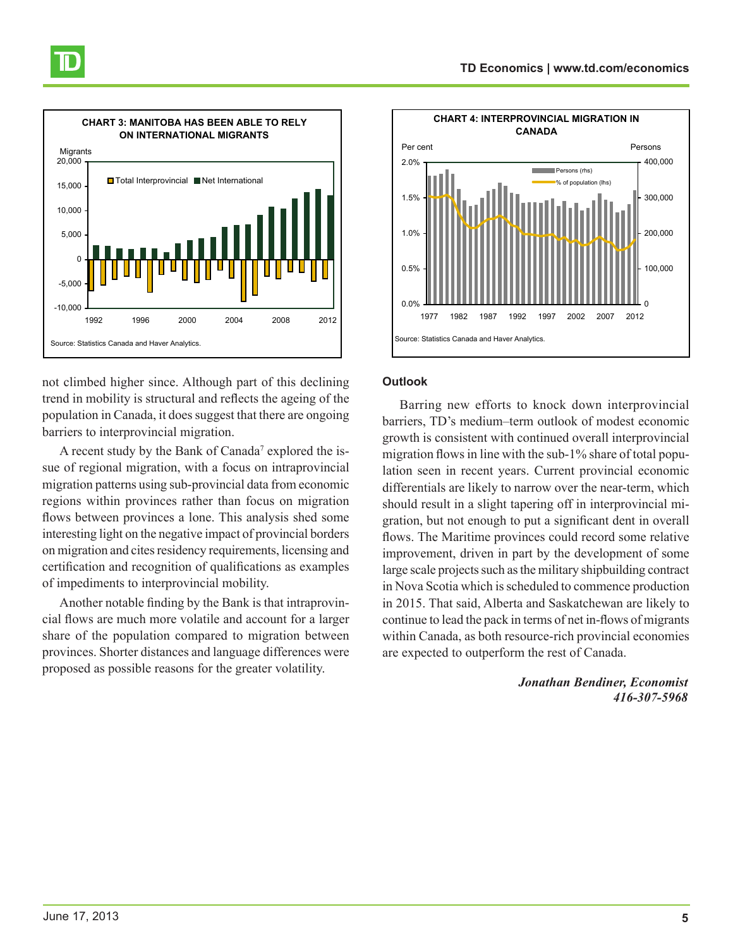

not climbed higher since. Although part of this declining trend in mobility is structural and reflects the ageing of the population in Canada, it does suggest that there are ongoing barriers to interprovincial migration.

A recent study by the Bank of Canada<sup>7</sup> explored the issue of regional migration, with a focus on intraprovincial migration patterns using sub-provincial data from economic regions within provinces rather than focus on migration flows between provinces a lone. This analysis shed some interesting light on the negative impact of provincial borders on migration and cites residency requirements, licensing and certification and recognition of qualifications as examples of impediments to interprovincial mobility.

Another notable finding by the Bank is that intraprovincial flows are much more volatile and account for a larger share of the population compared to migration between provinces. Shorter distances and language differences were proposed as possible reasons for the greater volatility.



### **Outlook**

Barring new efforts to knock down interprovincial barriers, TD's medium–term outlook of modest economic growth is consistent with continued overall interprovincial migration flows in line with the sub-1% share of total population seen in recent years. Current provincial economic differentials are likely to narrow over the near-term, which should result in a slight tapering off in interprovincial migration, but not enough to put a significant dent in overall flows. The Maritime provinces could record some relative improvement, driven in part by the development of some large scale projects such as the military shipbuilding contract in Nova Scotia which is scheduled to commence production in 2015. That said, Alberta and Saskatchewan are likely to continue to lead the pack in terms of net in-flows of migrants within Canada, as both resource-rich provincial economies are expected to outperform the rest of Canada.

> *Jonathan Bendiner, Economist 416-307-5968*